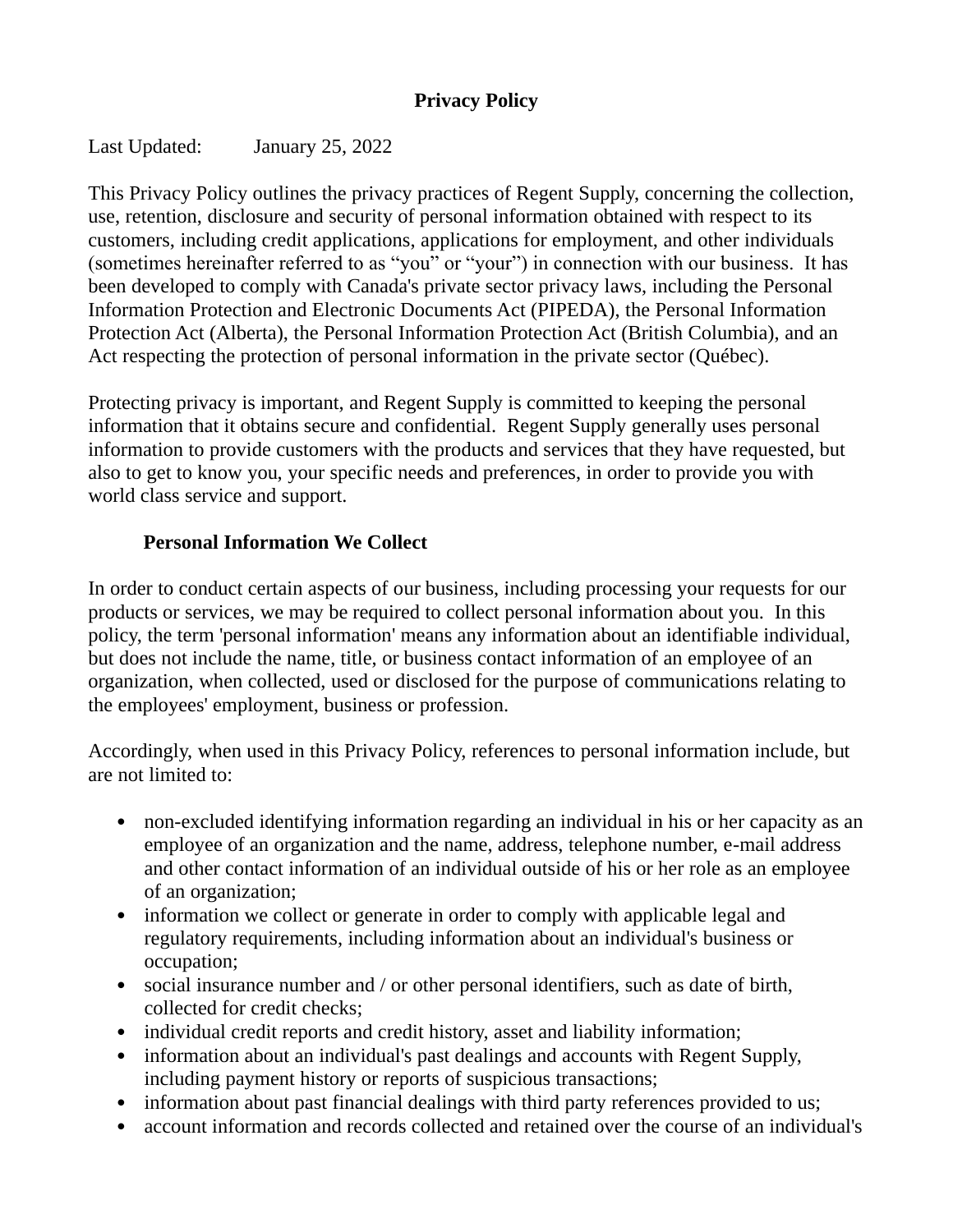## **Privacy Policy**

Last Updated: January 25, 2022

This Privacy Policy outlines the privacy practices of Regent Supply, concerning the collection, use, retention, disclosure and security of personal information obtained with respect to its customers, including credit applications, applications for employment, and other individuals (sometimes hereinafter referred to as "you" or "your") in connection with our business. It has been developed to comply with Canada's private sector privacy laws, including the Personal Information Protection and Electronic Documents Act (PIPEDA), the Personal Information Protection Act (Alberta), the Personal Information Protection Act (British Columbia), and an Act respecting the protection of personal information in the private sector (Québec).

Protecting privacy is important, and Regent Supply is committed to keeping the personal information that it obtains secure and confidential. Regent Supply generally uses personal information to provide customers with the products and services that they have requested, but also to get to know you, your specific needs and preferences, in order to provide you with world class service and support.

# **Personal Information We Collect**

In order to conduct certain aspects of our business, including processing your requests for our products or services, we may be required to collect personal information about you. In this policy, the term 'personal information' means any information about an identifiable individual, but does not include the name, title, or business contact information of an employee of an organization, when collected, used or disclosed for the purpose of communications relating to the employees' employment, business or profession.

Accordingly, when used in this Privacy Policy, references to personal information include, but are not limited to:

- non-excluded identifying information regarding an individual in his or her capacity as an employee of an organization and the name, address, telephone number, e-mail address and other contact information of an individual outside of his or her role as an employee of an organization;
- information we collect or generate in order to comply with applicable legal and regulatory requirements, including information about an individual's business or occupation;
- social insurance number and / or other personal identifiers, such as date of birth, collected for credit checks;
- individual credit reports and credit history, asset and liability information;
- information about an individual's past dealings and accounts with Regent Supply, including payment history or reports of suspicious transactions;
- information about past financial dealings with third party references provided to us;
- account information and records collected and retained over the course of an individual's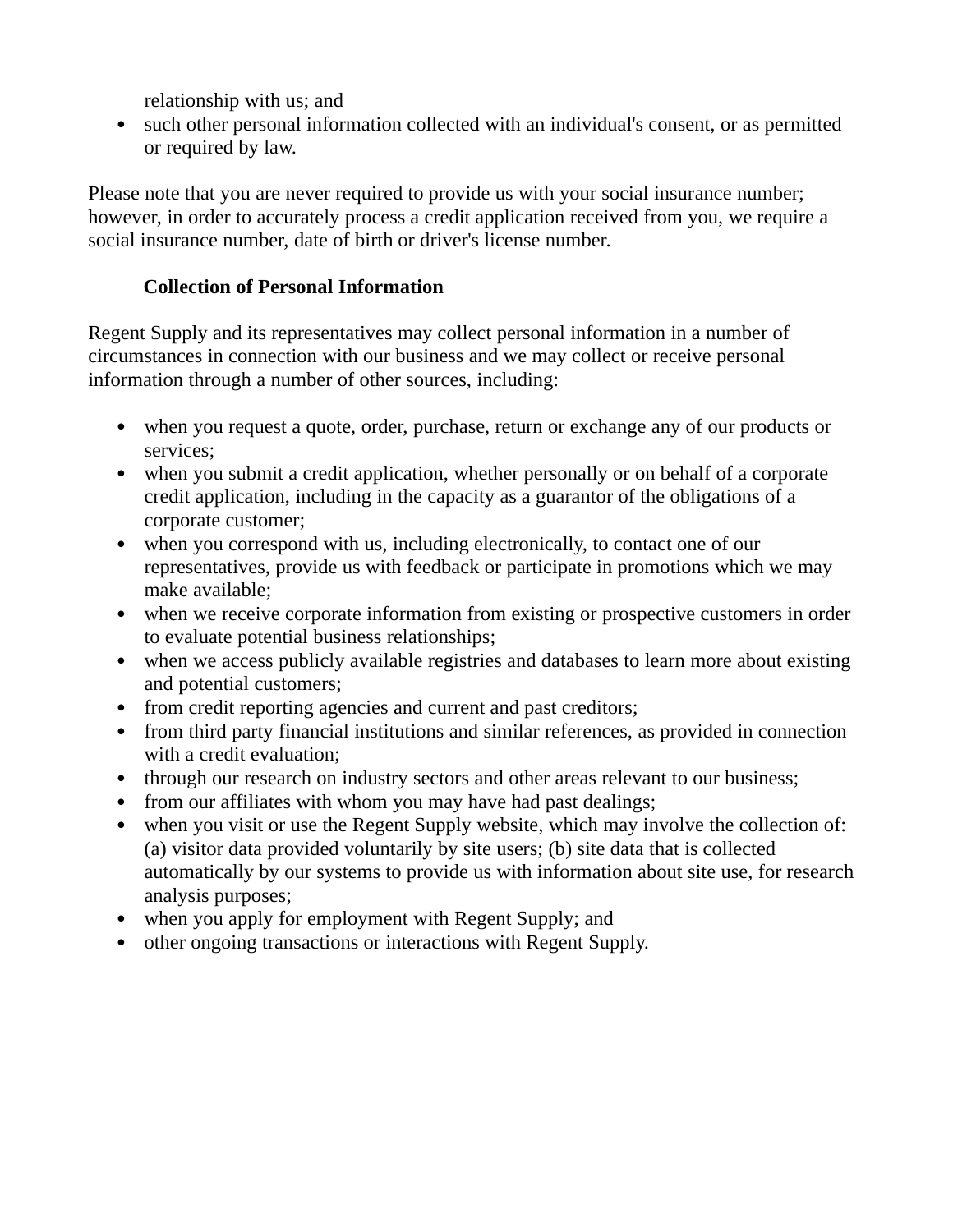relationship with us; and

• such other personal information collected with an individual's consent, or as permitted or required by law.

Please note that you are never required to provide us with your social insurance number; however, in order to accurately process a credit application received from you, we require a social insurance number, date of birth or driver's license number.

# **Collection of Personal Information**

Regent Supply and its representatives may collect personal information in a number of circumstances in connection with our business and we may collect or receive personal information through a number of other sources, including:

- when you request a quote, order, purchase, return or exchange any of our products or services;
- when you submit a credit application, whether personally or on behalf of a corporate credit application, including in the capacity as a guarantor of the obligations of a corporate customer;
- when you correspond with us, including electronically, to contact one of our representatives, provide us with feedback or participate in promotions which we may make available;
- when we receive corporate information from existing or prospective customers in order to evaluate potential business relationships;
- when we access publicly available registries and databases to learn more about existing and potential customers;
- from credit reporting agencies and current and past creditors;
- from third party financial institutions and similar references, as provided in connection with a credit evaluation;
- through our research on industry sectors and other areas relevant to our business;
- from our affiliates with whom you may have had past dealings;
- when you visit or use the Regent Supply website, which may involve the collection of: (a) visitor data provided voluntarily by site users; (b) site data that is collected automatically by our systems to provide us with information about site use, for research analysis purposes;
- when you apply for employment with Regent Supply; and
- other ongoing transactions or interactions with Regent Supply.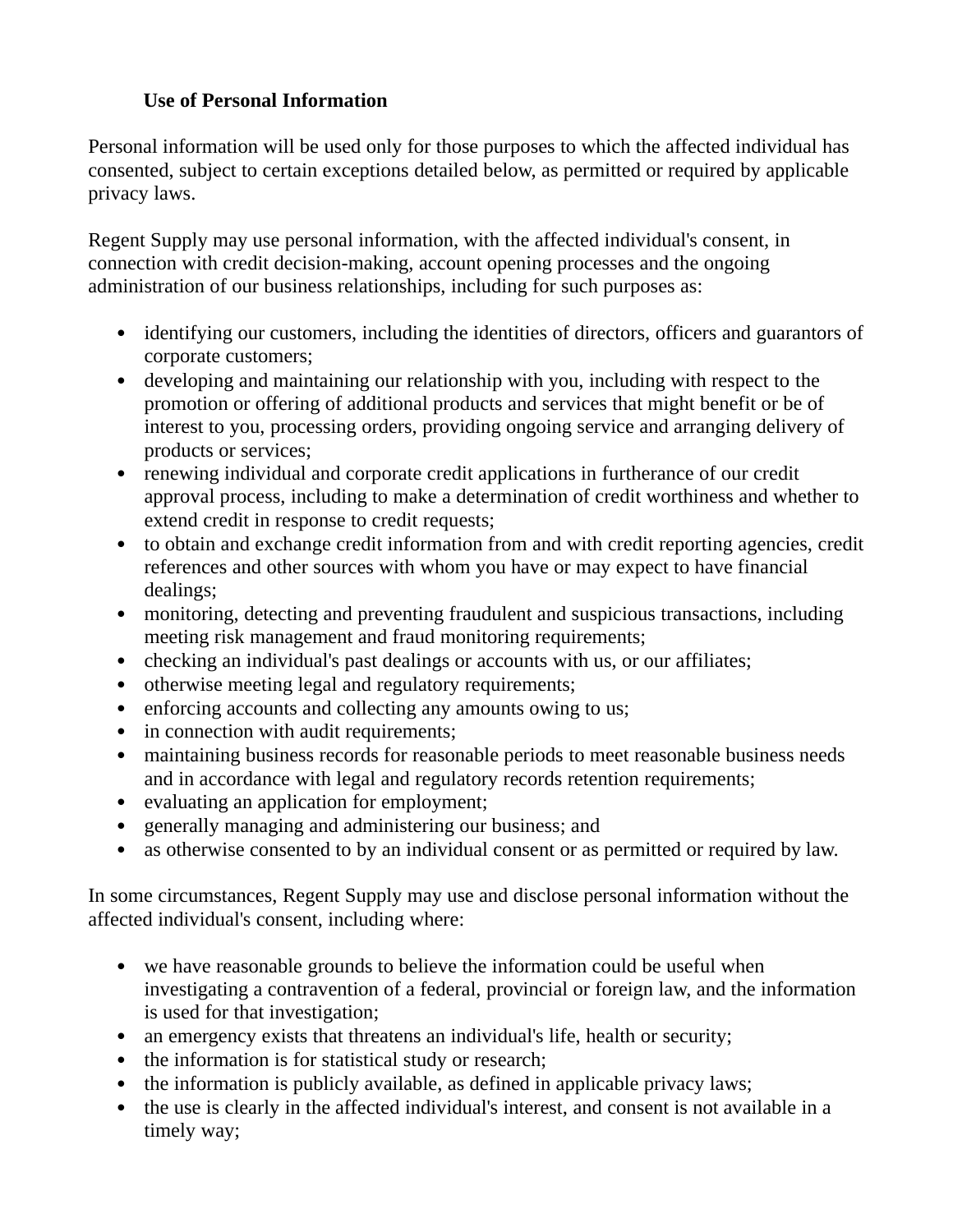### **Use of Personal Information**

Personal information will be used only for those purposes to which the affected individual has consented, subject to certain exceptions detailed below, as permitted or required by applicable privacy laws.

Regent Supply may use personal information, with the affected individual's consent, in connection with credit decision-making, account opening processes and the ongoing administration of our business relationships, including for such purposes as:

- identifying our customers, including the identities of directors, officers and guarantors of corporate customers;
- developing and maintaining our relationship with you, including with respect to the promotion or offering of additional products and services that might benefit or be of interest to you, processing orders, providing ongoing service and arranging delivery of products or services;
- renewing individual and corporate credit applications in furtherance of our credit approval process, including to make a determination of credit worthiness and whether to extend credit in response to credit requests;
- to obtain and exchange credit information from and with credit reporting agencies, credit references and other sources with whom you have or may expect to have financial dealings;
- monitoring, detecting and preventing fraudulent and suspicious transactions, including meeting risk management and fraud monitoring requirements;
- checking an individual's past dealings or accounts with us, or our affiliates;
- otherwise meeting legal and regulatory requirements;
- enforcing accounts and collecting any amounts owing to us;
- in connection with audit requirements;
- maintaining business records for reasonable periods to meet reasonable business needs and in accordance with legal and regulatory records retention requirements;
- evaluating an application for employment;
- generally managing and administering our business; and
- as otherwise consented to by an individual consent or as permitted or required by law.

In some circumstances, Regent Supply may use and disclose personal information without the affected individual's consent, including where:

- we have reasonable grounds to believe the information could be useful when investigating a contravention of a federal, provincial or foreign law, and the information is used for that investigation;
- an emergency exists that threatens an individual's life, health or security;
- the information is for statistical study or research;
- the information is publicly available, as defined in applicable privacy laws;
- the use is clearly in the affected individual's interest, and consent is not available in a timely way;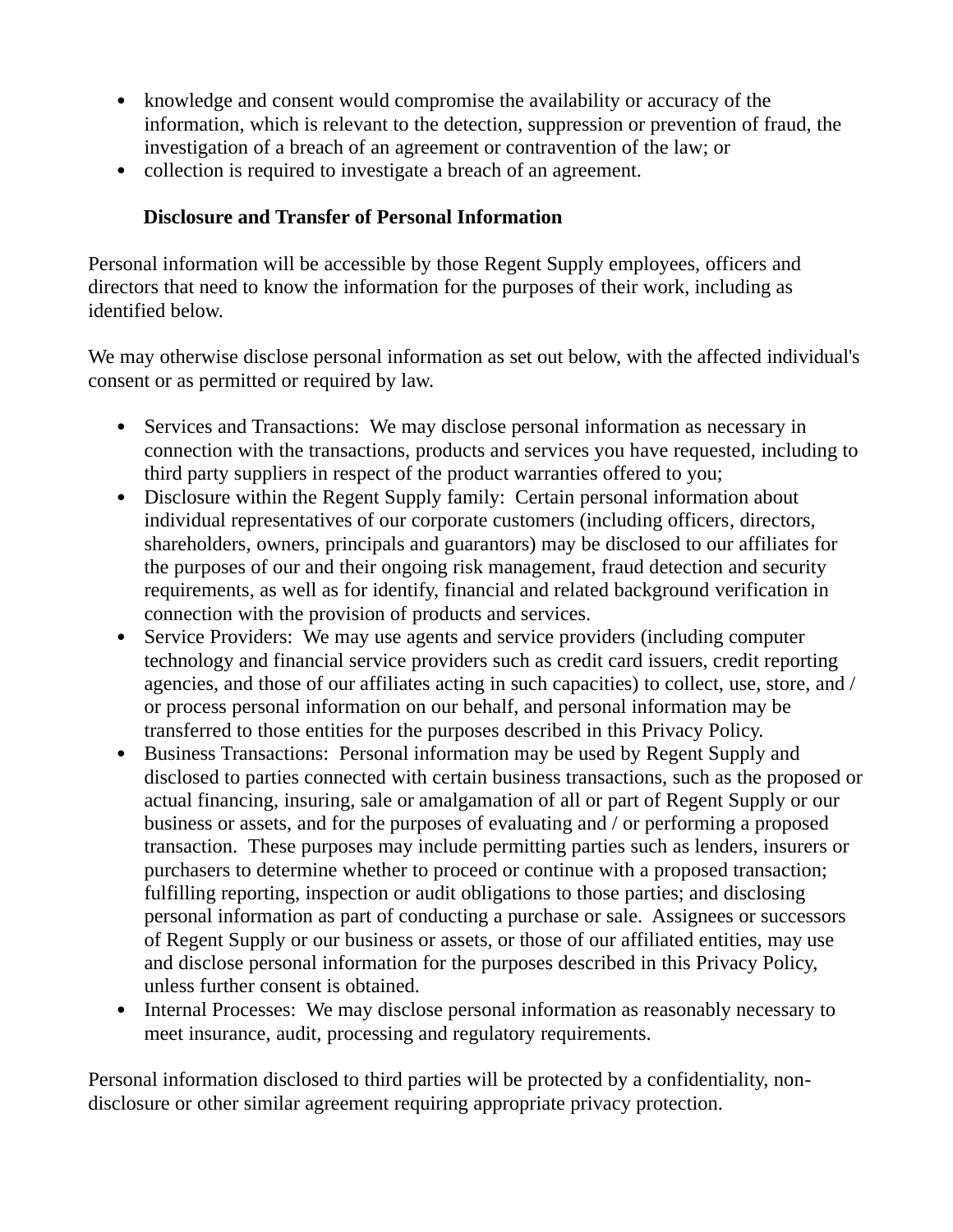- knowledge and consent would compromise the availability or accuracy of the information, which is relevant to the detection, suppression or prevention of fraud, the investigation of a breach of an agreement or contravention of the law; or
- collection is required to investigate a breach of an agreement.

## **Disclosure and Transfer of Personal Information**

Personal information will be accessible by those Regent Supply employees, officers and directors that need to know the information for the purposes of their work, including as identified below.

We may otherwise disclose personal information as set out below, with the affected individual's consent or as permitted or required by law.

- Services and Transactions: We may disclose personal information as necessary in connection with the transactions, products and services you have requested, including to third party suppliers in respect of the product warranties offered to you;
- Disclosure within the Regent Supply family: Certain personal information about individual representatives of our corporate customers (including officers, directors, shareholders, owners, principals and guarantors) may be disclosed to our affiliates for the purposes of our and their ongoing risk management, fraud detection and security requirements, as well as for identify, financial and related background verification in connection with the provision of products and services.
- Service Providers: We may use agents and service providers (including computer technology and financial service providers such as credit card issuers, credit reporting agencies, and those of our affiliates acting in such capacities) to collect, use, store, and / or process personal information on our behalf, and personal information may be transferred to those entities for the purposes described in this Privacy Policy.
- Business Transactions: Personal information may be used by Regent Supply and disclosed to parties connected with certain business transactions, such as the proposed or actual financing, insuring, sale or amalgamation of all or part of Regent Supply or our business or assets, and for the purposes of evaluating and / or performing a proposed transaction. These purposes may include permitting parties such as lenders, insurers or purchasers to determine whether to proceed or continue with a proposed transaction; fulfilling reporting, inspection or audit obligations to those parties; and disclosing personal information as part of conducting a purchase or sale. Assignees or successors of Regent Supply or our business or assets, or those of our affiliated entities, may use and disclose personal information for the purposes described in this Privacy Policy, unless further consent is obtained.
- Internal Processes: We may disclose personal information as reasonably necessary to meet insurance, audit, processing and regulatory requirements.

Personal information disclosed to third parties will be protected by a confidentiality, nondisclosure or other similar agreement requiring appropriate privacy protection.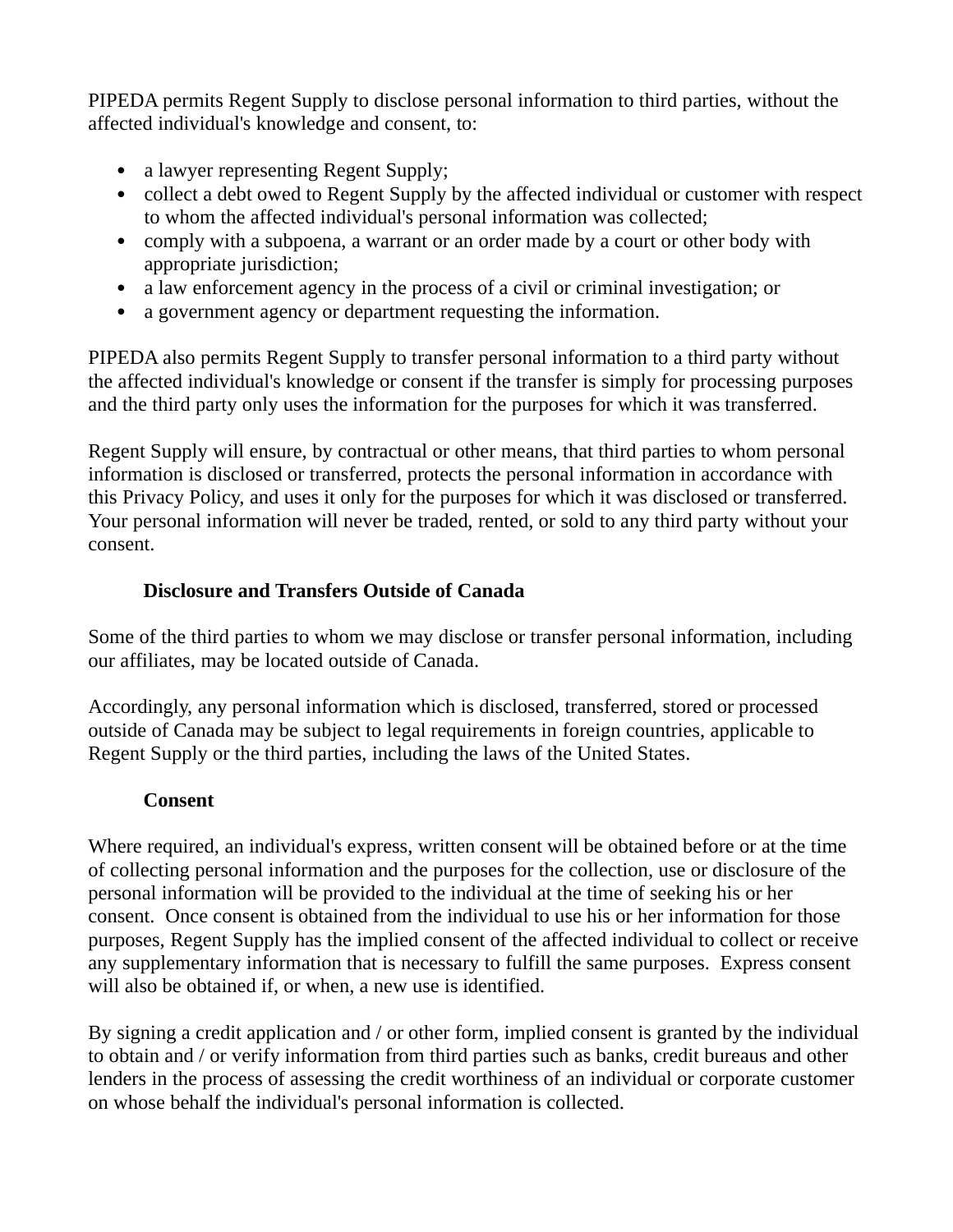PIPEDA permits Regent Supply to disclose personal information to third parties, without the affected individual's knowledge and consent, to:

- a lawyer representing Regent Supply;
- collect a debt owed to Regent Supply by the affected individual or customer with respect to whom the affected individual's personal information was collected;
- comply with a subpoena, a warrant or an order made by a court or other body with appropriate jurisdiction;
- a law enforcement agency in the process of a civil or criminal investigation; or
- a government agency or department requesting the information.

PIPEDA also permits Regent Supply to transfer personal information to a third party without the affected individual's knowledge or consent if the transfer is simply for processing purposes and the third party only uses the information for the purposes for which it was transferred.

Regent Supply will ensure, by contractual or other means, that third parties to whom personal information is disclosed or transferred, protects the personal information in accordance with this Privacy Policy, and uses it only for the purposes for which it was disclosed or transferred. Your personal information will never be traded, rented, or sold to any third party without your consent.

## **Disclosure and Transfers Outside of Canada**

Some of the third parties to whom we may disclose or transfer personal information, including our affiliates, may be located outside of Canada.

Accordingly, any personal information which is disclosed, transferred, stored or processed outside of Canada may be subject to legal requirements in foreign countries, applicable to Regent Supply or the third parties, including the laws of the United States.

### **Consent**

Where required, an individual's express, written consent will be obtained before or at the time of collecting personal information and the purposes for the collection, use or disclosure of the personal information will be provided to the individual at the time of seeking his or her consent. Once consent is obtained from the individual to use his or her information for those purposes, Regent Supply has the implied consent of the affected individual to collect or receive any supplementary information that is necessary to fulfill the same purposes. Express consent will also be obtained if, or when, a new use is identified.

By signing a credit application and / or other form, implied consent is granted by the individual to obtain and / or verify information from third parties such as banks, credit bureaus and other lenders in the process of assessing the credit worthiness of an individual or corporate customer on whose behalf the individual's personal information is collected.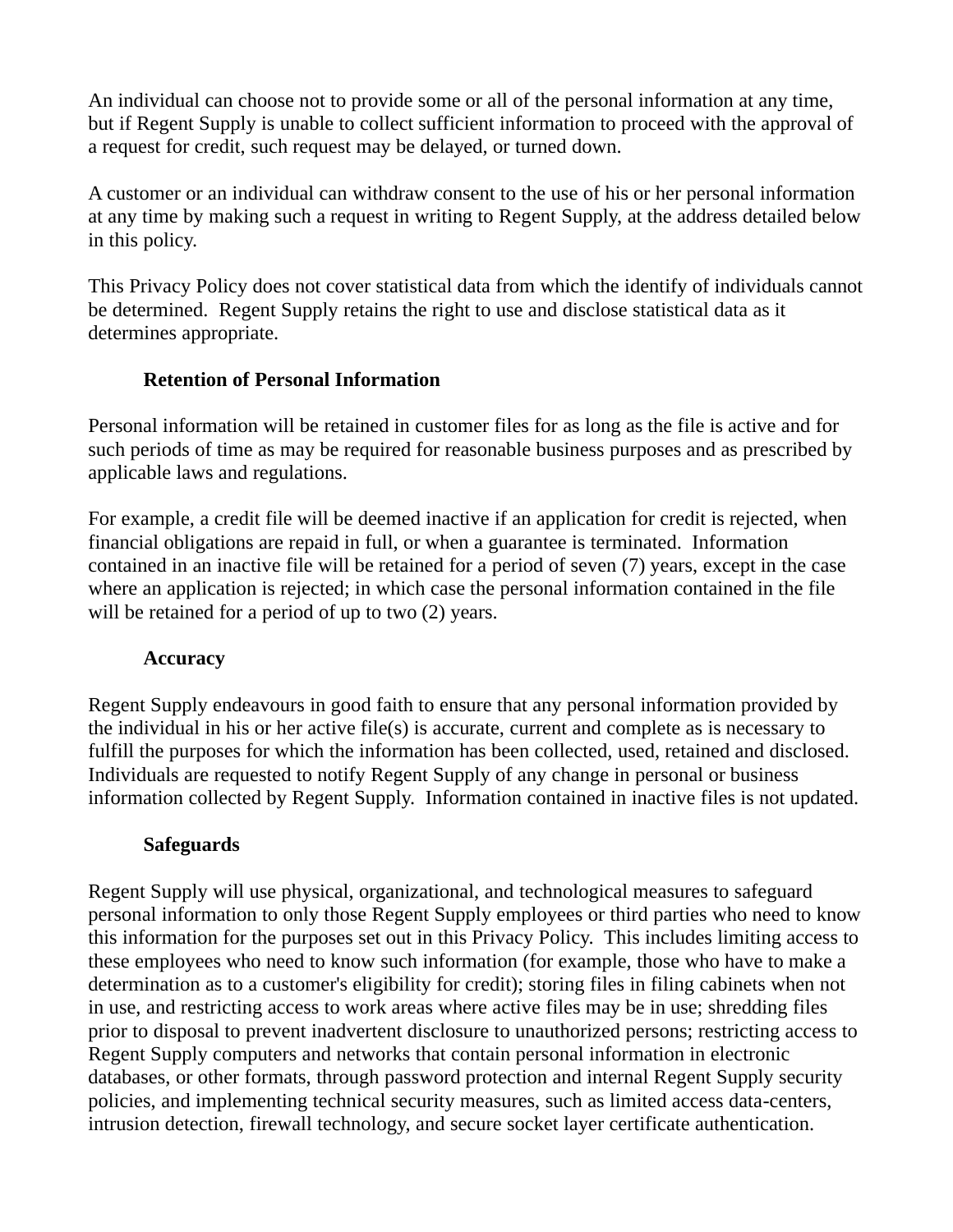An individual can choose not to provide some or all of the personal information at any time, but if Regent Supply is unable to collect sufficient information to proceed with the approval of a request for credit, such request may be delayed, or turned down.

A customer or an individual can withdraw consent to the use of his or her personal information at any time by making such a request in writing to Regent Supply, at the address detailed below in this policy.

This Privacy Policy does not cover statistical data from which the identify of individuals cannot be determined. Regent Supply retains the right to use and disclose statistical data as it determines appropriate.

# **Retention of Personal Information**

Personal information will be retained in customer files for as long as the file is active and for such periods of time as may be required for reasonable business purposes and as prescribed by applicable laws and regulations.

For example, a credit file will be deemed inactive if an application for credit is rejected, when financial obligations are repaid in full, or when a guarantee is terminated. Information contained in an inactive file will be retained for a period of seven (7) years, except in the case where an application is rejected; in which case the personal information contained in the file will be retained for a period of up to two  $(2)$  years.

## **Accuracy**

Regent Supply endeavours in good faith to ensure that any personal information provided by the individual in his or her active file(s) is accurate, current and complete as is necessary to fulfill the purposes for which the information has been collected, used, retained and disclosed. Individuals are requested to notify Regent Supply of any change in personal or business information collected by Regent Supply. Information contained in inactive files is not updated.

## **Safeguards**

Regent Supply will use physical, organizational, and technological measures to safeguard personal information to only those Regent Supply employees or third parties who need to know this information for the purposes set out in this Privacy Policy. This includes limiting access to these employees who need to know such information (for example, those who have to make a determination as to a customer's eligibility for credit); storing files in filing cabinets when not in use, and restricting access to work areas where active files may be in use; shredding files prior to disposal to prevent inadvertent disclosure to unauthorized persons; restricting access to Regent Supply computers and networks that contain personal information in electronic databases, or other formats, through password protection and internal Regent Supply security policies, and implementing technical security measures, such as limited access data-centers, intrusion detection, firewall technology, and secure socket layer certificate authentication.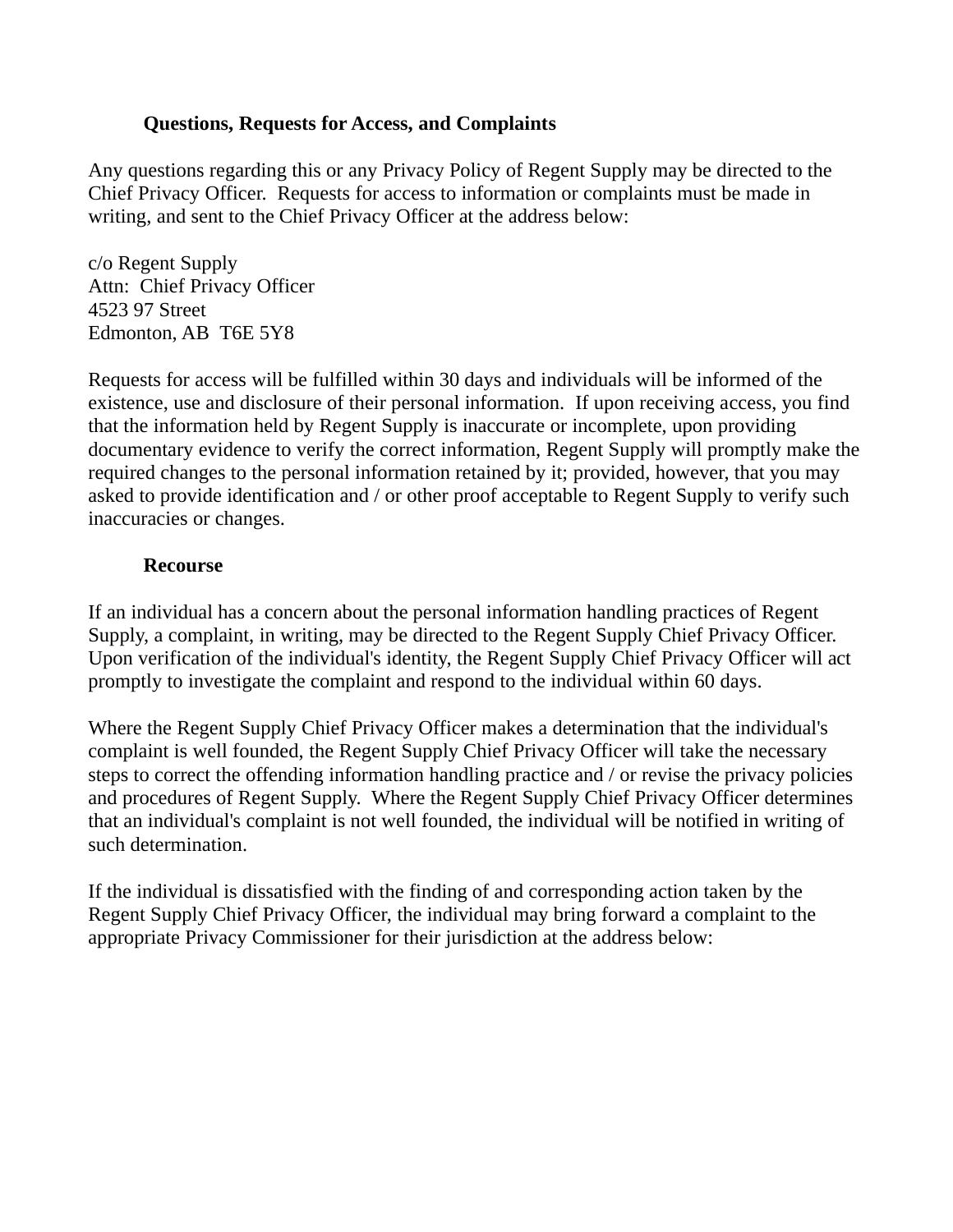### **Questions, Requests for Access, and Complaints**

Any questions regarding this or any Privacy Policy of Regent Supply may be directed to the Chief Privacy Officer. Requests for access to information or complaints must be made in writing, and sent to the Chief Privacy Officer at the address below:

c/o Regent Supply Attn: Chief Privacy Officer 4523 97 Street Edmonton, AB T6E 5Y8

Requests for access will be fulfilled within 30 days and individuals will be informed of the existence, use and disclosure of their personal information. If upon receiving access, you find that the information held by Regent Supply is inaccurate or incomplete, upon providing documentary evidence to verify the correct information, Regent Supply will promptly make the required changes to the personal information retained by it; provided, however, that you may asked to provide identification and / or other proof acceptable to Regent Supply to verify such inaccuracies or changes.

### **Recourse**

If an individual has a concern about the personal information handling practices of Regent Supply, a complaint, in writing, may be directed to the Regent Supply Chief Privacy Officer. Upon verification of the individual's identity, the Regent Supply Chief Privacy Officer will act promptly to investigate the complaint and respond to the individual within 60 days.

Where the Regent Supply Chief Privacy Officer makes a determination that the individual's complaint is well founded, the Regent Supply Chief Privacy Officer will take the necessary steps to correct the offending information handling practice and / or revise the privacy policies and procedures of Regent Supply. Where the Regent Supply Chief Privacy Officer determines that an individual's complaint is not well founded, the individual will be notified in writing of such determination.

If the individual is dissatisfied with the finding of and corresponding action taken by the Regent Supply Chief Privacy Officer, the individual may bring forward a complaint to the appropriate Privacy Commissioner for their jurisdiction at the address below: